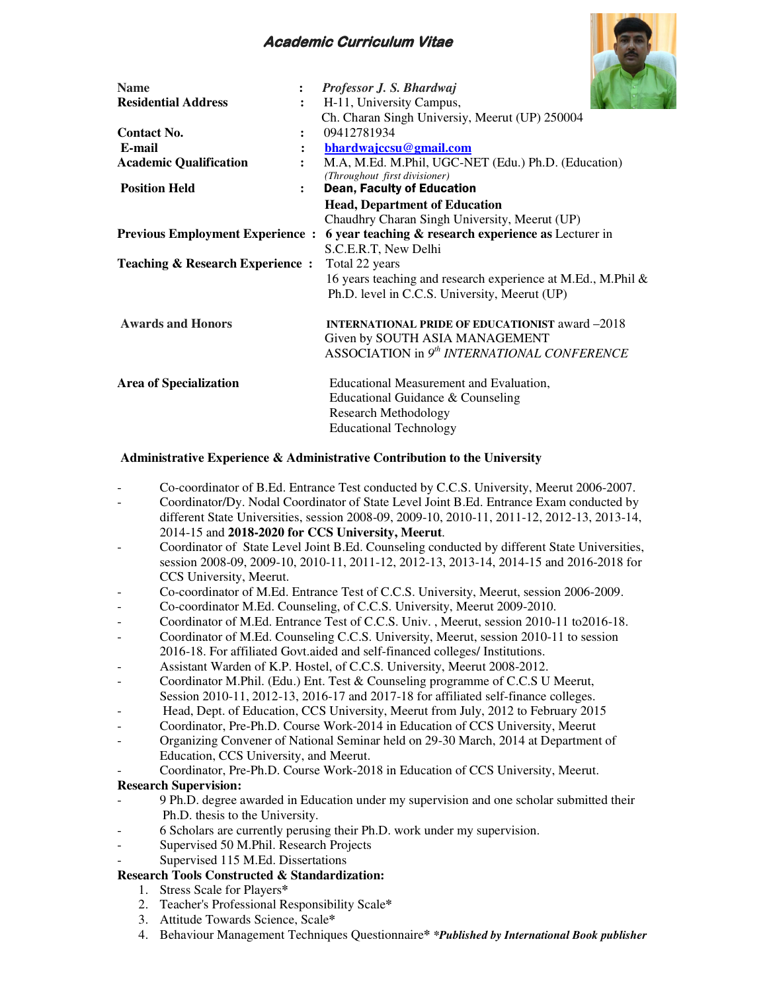# Academic Curriculum Vitae



| <b>Name</b>                                | $\ddot{\cdot}$       | Professor J. S. Bhardwaj                                     |
|--------------------------------------------|----------------------|--------------------------------------------------------------|
| <b>Residential Address</b>                 | $\ddot{\phantom{a}}$ | H-11, University Campus,                                     |
|                                            |                      | Ch. Charan Singh Universiy, Meerut (UP) 250004               |
| <b>Contact No.</b>                         |                      | 09412781934                                                  |
| E-mail                                     |                      | bhardwajccsu@gmail.com                                       |
| <b>Academic Qualification</b>              |                      | M.A, M.Ed. M.Phil, UGC-NET (Edu.) Ph.D. (Education)          |
|                                            |                      | (Throughout first divisioner)                                |
| <b>Position Held</b>                       | $\ddot{\cdot}$       | <b>Dean, Faculty of Education</b>                            |
|                                            |                      | <b>Head, Department of Education</b>                         |
|                                            |                      | Chaudhry Charan Singh University, Meerut (UP)                |
| <b>Previous Employment Experience:</b>     |                      | 6 year teaching $\&$ research experience as Lecturer in      |
|                                            |                      | S.C.E.R.T, New Delhi                                         |
| <b>Teaching &amp; Research Experience:</b> |                      | Total 22 years                                               |
|                                            |                      | 16 years teaching and research experience at M.Ed., M.Phil & |
|                                            |                      | Ph.D. level in C.C.S. University, Meerut (UP)                |
|                                            |                      |                                                              |
| <b>Awards and Honors</b>                   |                      | <b>INTERNATIONAL PRIDE OF EDUCATIONIST award -2018</b>       |
|                                            |                      | Given by SOUTH ASIA MANAGEMENT                               |
|                                            |                      | ASSOCIATION in 9 <sup>th</sup> INTERNATIONAL CONFERENCE      |
|                                            |                      |                                                              |
| <b>Area of Specialization</b>              |                      | Educational Measurement and Evaluation,                      |
|                                            |                      | Educational Guidance & Counseling                            |
|                                            |                      | <b>Research Methodology</b>                                  |
|                                            |                      | <b>Educational Technology</b>                                |
|                                            |                      |                                                              |

#### **Administrative Experience & Administrative Contribution to the University**

- Co-coordinator of B.Ed. Entrance Test conducted by C.C.S. University, Meerut 2006-2007.
- Coordinator/Dy. Nodal Coordinator of State Level Joint B.Ed. Entrance Exam conducted by different State Universities, session 2008-09, 2009-10, 2010-11, 2011-12, 2012-13, 2013-14, 2014-15 and **2018-2020 for CCS University, Meerut**.
- Coordinator of State Level Joint B.Ed. Counseling conducted by different State Universities, session 2008-09, 2009-10, 2010-11, 2011-12, 2012-13, 2013-14, 2014-15 and 2016-2018 for CCS University, Meerut.
- Co-coordinator of M.Ed. Entrance Test of C.C.S. University, Meerut, session 2006-2009.
- Co-coordinator M.Ed. Counseling, of C.C.S. University, Meerut 2009-2010.
- Coordinator of M.Ed. Entrance Test of C.C.S. Univ. , Meerut, session 2010-11 to2016-18.
- Coordinator of M.Ed. Counseling C.C.S. University, Meerut, session 2010-11 to session 2016-18. For affiliated Govt.aided and self-financed colleges/ Institutions.
- Assistant Warden of K.P. Hostel, of C.C.S. University, Meerut 2008-2012.
- Coordinator M.Phil. (Edu.) Ent. Test & Counseling programme of C.C.S U Meerut, Session 2010-11, 2012-13, 2016-17 and 2017-18 for affiliated self-finance colleges.
- Head, Dept. of Education, CCS University, Meerut from July, 2012 to February 2015
- Coordinator, Pre-Ph.D. Course Work-2014 in Education of CCS University, Meerut
- Organizing Convener of National Seminar held on 29-30 March, 2014 at Department of Education, CCS University, and Meerut.
- Coordinator, Pre-Ph.D. Course Work-2018 in Education of CCS University, Meerut. **Research Supervision:**
- 9 Ph.D. degree awarded in Education under my supervision and one scholar submitted their Ph.D. thesis to the University.
- 6 Scholars are currently perusing their Ph.D. work under my supervision.
- Supervised 50 M.Phil. Research Projects
- Supervised 115 M.Ed. Dissertations

# **Research Tools Constructed & Standardization:**

- 1. Stress Scale for Players**\***
- 2. Teacher's Professional Responsibility Scale**\***
- 3. Attitude Towards Science, Scale**\***
- 4. Behaviour Management Techniques Questionnaire**\*** *\*Published by International Book publisher*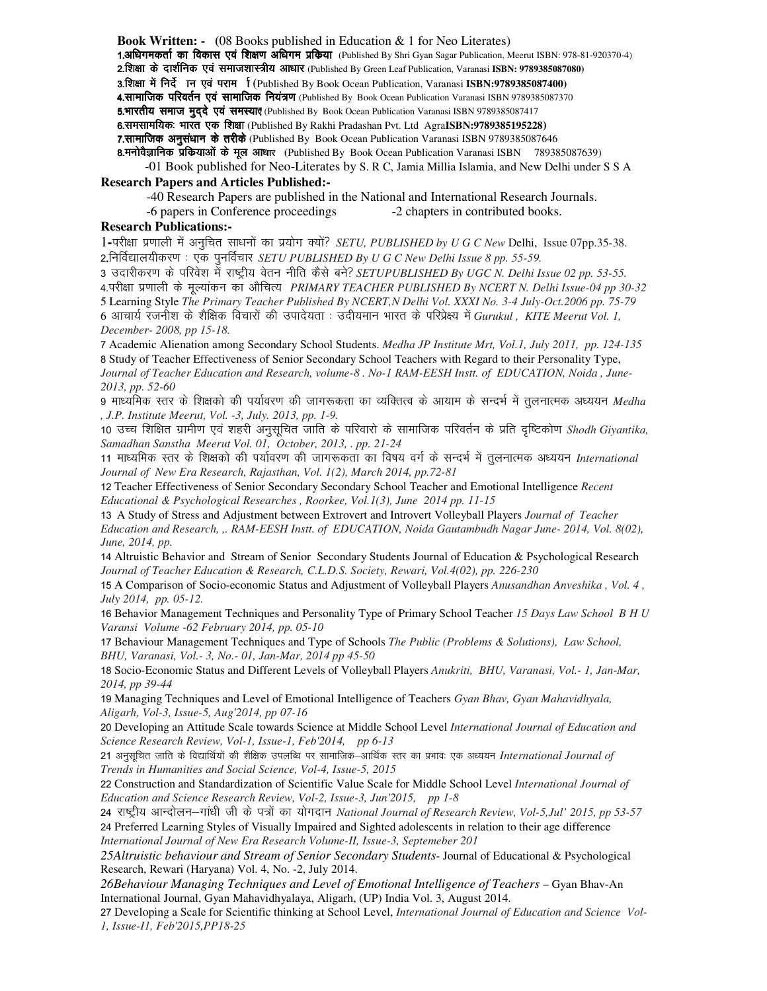**Book Written: - (**08 Books published in Education & 1 for Neo Literates) 1.अधिगमकर्ता का विकास एवं शिक्षण अधिगम प्रकिया (Published By Shri Gyan Sagar Publication, Meerut ISBN: 978-81-920370-4) 2.शिक्षा के दार्शनिक एवं समाजशास्त्रीय आधार (Published By Green Leaf Publication, Varanasi ISBN: 9789385087080) 3.शिक्षा में निर्दे ान एवं परामर्ी (Published By Book Ocean Publication, Varanasi ISBN:9789385087400) 4. सामाजिक परिवर्तन एवं सामाजिक नियंत्रण (Published By Book Ocean Publication Varanasi ISBN 9789385087370 5. भारतीय समाज मुद्दे एवं समस्याह (Published By Book Ocean Publication Varanasi ISBN 9789385087417 6.समसामयिकः भारत एक शिक्षा (Published By Rakhi Pradashan Pvt. Ltd AgraISBN:9789385195228) 7.सामाजिक अनुसंधान के तरीके (Published By Book Ocean Publication Varanasi ISBN 9789385087646 8.मनोवैज्ञानिक प्रकियाओं के मूल आधार (Published By Book Ocean Publication Varanasi ISBN 789385087639) -01 Book published for Neo-Literates by S. R C, Jamia Millia Islamia, and New Delhi under S S A

**Research Papers and Articles Published:-** 

-40 Research Papers are published in the National and International Research Journals.

-6 papers in Conference proceedings -2 chapters in contributed books.

#### **Research Publications:-**

1-परीक्षा प्रणाली में अनुचित साधनों का प्रयोग क्यों? *SETU, PUBLISHED by U G C New* Delhi, Issue 07pp.35-38. 2.निर्विद्यालयीकरण: एक पुनर्विचार *SETU PUBLISHED By U G C New Delhi Issue 8 pp. 55-59.* 3 उदारीकरण के परिवेश में राष्ट्रीय वेतन नीति कैसे बने? SETUPUBLISHED By UGC N. Delhi Issue 02 pp. 53-55. 4.परीक्षा प्रणाली के मूल्यांकन का ओचित्य *PRIMARY TEACHER PUBLISHED By NCERT N. Delhi Issue-04 pp 30-32* 

5 Learning Style *The Primary Teacher Published By NCERT,N Delhi Vol. XXXI No. 3-4 July-Oct.2006 pp. 75-79*  6 आचार्य रजनीश के शैक्षिक विचारों की उपादेयता : उदीयमान भारत के परिप्रेक्ष्य में Gurukul, KITE Meerut Vol. 1, *December- 2008, pp 15-18.* 

7 Academic Alienation among Secondary School Students. *Medha JP Institute Mrt, Vol.1, July 2011, pp. 124-135*  8 Study of Teacher Effectiveness of Senior Secondary School Teachers with Regard to their Personality Type, *Journal of Teacher Education and Research, volume-8 . No-1 RAM-EESH Instt. of EDUCATION, Noida , June-2013, pp. 52-60* 

9 माध्यमिक स्तर के शिक्षको की पर्यावरण की जागरूकता का व्यक्तित्व के आयाम के सन्दर्भ में तुलनात्मक अध्ययन *Medha , J.P. Institute Meerut, Vol. -3, July. 2013, pp. 1-9.* 

10 उच्च शिक्षित ग्रामीण एवं शहरी अनुसुचित जाति के परिवारो के सामाजिक परिवर्तन के प्रति दुष्टिकोण Shodh Giyantika, *Samadhan Sanstha Meerut Vol. 01, October, 2013, . pp. 21-24* 

11 माध्यमिक स्तर के शिक्षको की पर्यावरण की जागरूकता का विषय वर्ग के सन्दर्भ में तुलनात्मक अध्ययन International *Journal of New Era Research, Rajasthan, Vol. 1(2), March 2014, pp.72-81* 

12 Teacher Effectiveness of Senior Secondary Secondary School Teacher and Emotional Intelligence *Recent Educational & Psychological Researches , Roorkee, Vol.1(3), June 2014 pp. 11-15* 

13 A Study of Stress and Adjustment between Extrovert and Introvert Volleyball Players *Journal of Teacher Education and Research, ,. RAM-EESH Instt. of EDUCATION, Noida Gautambudh Nagar June- 2014, Vol. 8(02), June, 2014, pp.* 

14 Altruistic Behavior and Stream of Senior Secondary Students Journal of Education & Psychological Research *Journal of Teacher Education & Research, C.L.D.S. Society, Rewari, Vol.4(02), pp. 226-230* 

15 A Comparison of Socio-economic Status and Adjustment of Volleyball Players *Anusandhan Anveshika , Vol. 4 , July 2014, pp. 05-12.* 

16 Behavior Management Techniques and Personality Type of Primary School Teacher *15 Days Law School B H U Varansi Volume -62 February 2014, pp. 05-10* 

17 Behaviour Management Techniques and Type of Schools *The Public (Problems & Solutions), Law School, BHU, Varanasi, Vol.- 3, No.- 01, Jan-Mar, 2014 pp 45-50* 

18 Socio-Economic Status and Different Levels of Volleyball Players *Anukriti, BHU, Varanasi, Vol.- 1, Jan-Mar, 2014, pp 39-44* 

19 Managing Techniques and Level of Emotional Intelligence of Teachers *Gyan Bhav, Gyan Mahavidhyala, Aligarh, Vol-3, Issue-5, Aug'2014, pp 07-16* 

20 Developing an Attitude Scale towards Science at Middle School Level *International Journal of Education and Science Research Review, Vol-1, Issue-1, Feb'2014, pp 6-13* 

21 अनुसूचित जाति के विद्यार्थियों की शैक्षिक उपलब्धि पर सामाजिक–आर्थिक स्तर का प्रभावः एक अध्ययन International Journal of *Trends in Humanities and Social Science, Vol-4, Issue-5, 2015* 

22 Construction and Standardization of Scientific Value Scale for Middle School Level *International Journal of Education and Science Research Review, Vol-2, Issue-3, Jun'2015, pp 1-8* 

24 राष्ट्रीय आन्दोलन–गांधी जी के पत्रों का योगदान National Journal of Research Review, Vol-5,Jul' 2015, pp 53-57 24 Preferred Learning Styles of Visually Impaired and Sighted adolescents in relation to their age difference *International Journal of New Era Research Volume-II, Issue-3, Septemeber 201* 

*25Altruistic behaviour and Stream of Senior Secondary Students*- Journal of Educational & Psychological Research, Rewari (Haryana) Vol. 4, No. -2, July 2014.

26Behaviour Managing Techniques and Level of Emotional Intelligence of Teachers – Gyan Bhav-An International Journal, Gyan Mahavidhyalaya, Aligarh, (UP) India Vol. 3, August 2014.

27 Developing a Scale for Scientific thinking at School Level, *International Journal of Education and Science Vol-1, Issue-I1, Feb'2015,PP18-25*